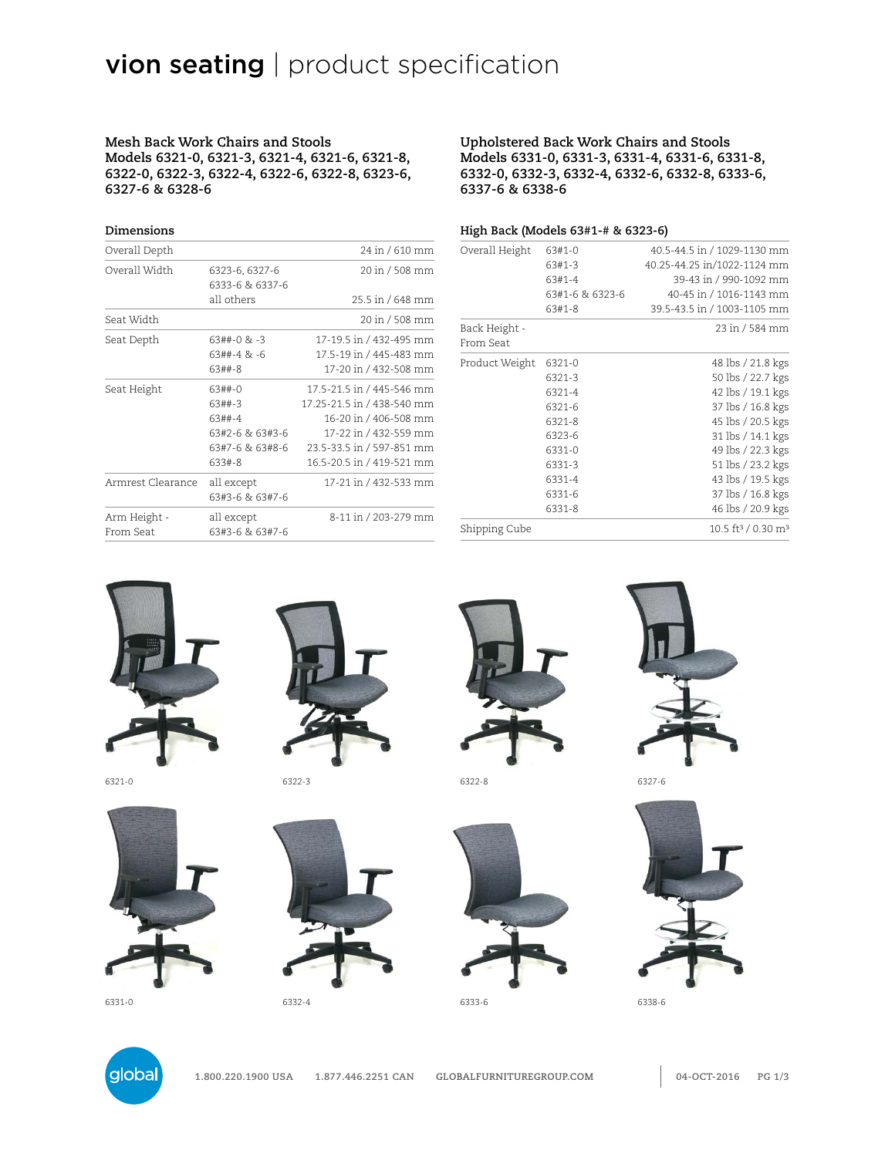# vion seating | product specification

**Mesh Back Work Chairs and Stools Models 6321-0, 6321-3, 6321-4, 6321-6, 6321-8, 6322-0, 6322-3, 6322-4, 6322-6, 6322-8, 6323-6, 6327-6 & 6328-6**

#### **Upholstered Back Work Chairs and Stools Models 6331-0, 6331-3, 6331-4, 6331-6, 6331-8, 6332-0, 6332-3, 6332-4, 6332-6, 6332-8, 6333-6, 6337-6 & 6338-6**

#### **High Back (Models 63#1-# & 6323-6)**

| Overall Depth             |                                   | 24 in / 610 mm             |
|---------------------------|-----------------------------------|----------------------------|
| Overall Width             | 6323-6, 6327-6<br>6333-6 & 6337-6 | 20 in / 508 mm             |
|                           | all others                        | 25.5 in / 648 mm           |
| Seat Width                |                                   | 20 in / 508 mm             |
| Seat Depth                | $63#4-0$ & $-3$                   | 17-19.5 in / 432-495 mm    |
|                           | 63##-4 & -6                       | 17.5-19 in / 445-483 mm    |
|                           | 63##-8                            | 17-20 in / 432-508 mm      |
| Seat Height               | 63##-0                            | 17.5-21.5 in / 445-546 mm  |
|                           | 63##-3                            | 17.25-21.5 in / 438-540 mm |
|                           | 63##-4                            | 16-20 in / 406-508 mm      |
|                           | 63#2-6 & 63#3-6                   | 17-22 in / 432-559 mm      |
|                           | 63#7-6 & 63#8-6                   | 23.5-33.5 in / 597-851 mm  |
|                           | 633#-8                            | 16.5-20.5 in / 419-521 mm  |
| Armrest Clearance         | all except                        | 17-21 in / 432-533 mm      |
|                           | 63#3-6 & 63#7-6                   |                            |
| Arm Height -<br>From Seat | all except<br>63#3-6 & 63#7-6     | 8-11 in / 203-279 mm       |

| Overall Height             | 63#1-0          | 40.5-44.5 in / 1029-1130 mm                |
|----------------------------|-----------------|--------------------------------------------|
|                            | 63#1-3          | 40.25-44.25 in/1022-1124 mm                |
|                            | 63#1-4          | 39-43 in / 990-1092 mm                     |
|                            | 63#1-6 & 6323-6 | 40-45 in / 1016-1143 mm                    |
|                            | 63#1-8          | 39.5-43.5 in / 1003-1105 mm                |
| Back Height -<br>From Seat |                 | 23 in / 584 mm                             |
| Product Weight             | 6321-0          | 48 lbs / 21.8 kgs                          |
|                            | 6321-3          | 50 lbs / 22.7 kgs                          |
|                            | 6321-4          | 42 lbs / 19.1 kgs                          |
|                            | 6321-6          | 37 lbs / 16.8 kgs                          |
|                            | 6321-8          | 45 lbs / 20.5 kgs                          |
|                            | 6323-6          | 31 lbs / 14.1 kgs                          |
|                            | 6331-0          | 49 lbs / 22.3 kgs                          |
|                            | 6331-3          | 51 lbs / 23.2 kgs                          |
|                            | 6331-4          | 43 lbs / 19.5 kgs                          |
|                            | 6331-6          | 37 lbs / 16.8 kgs                          |
|                            | 6331-8          | 46 lbs / 20.9 kgs                          |
| Shipping Cube              |                 | 10.5 ft <sup>3</sup> / 0.30 m <sup>3</sup> |
|                            |                 |                                            |



**Dimensions**





6321-0 6322-3 6322-8 6327-6









6331-0 6332-4 6333-6 6338-6



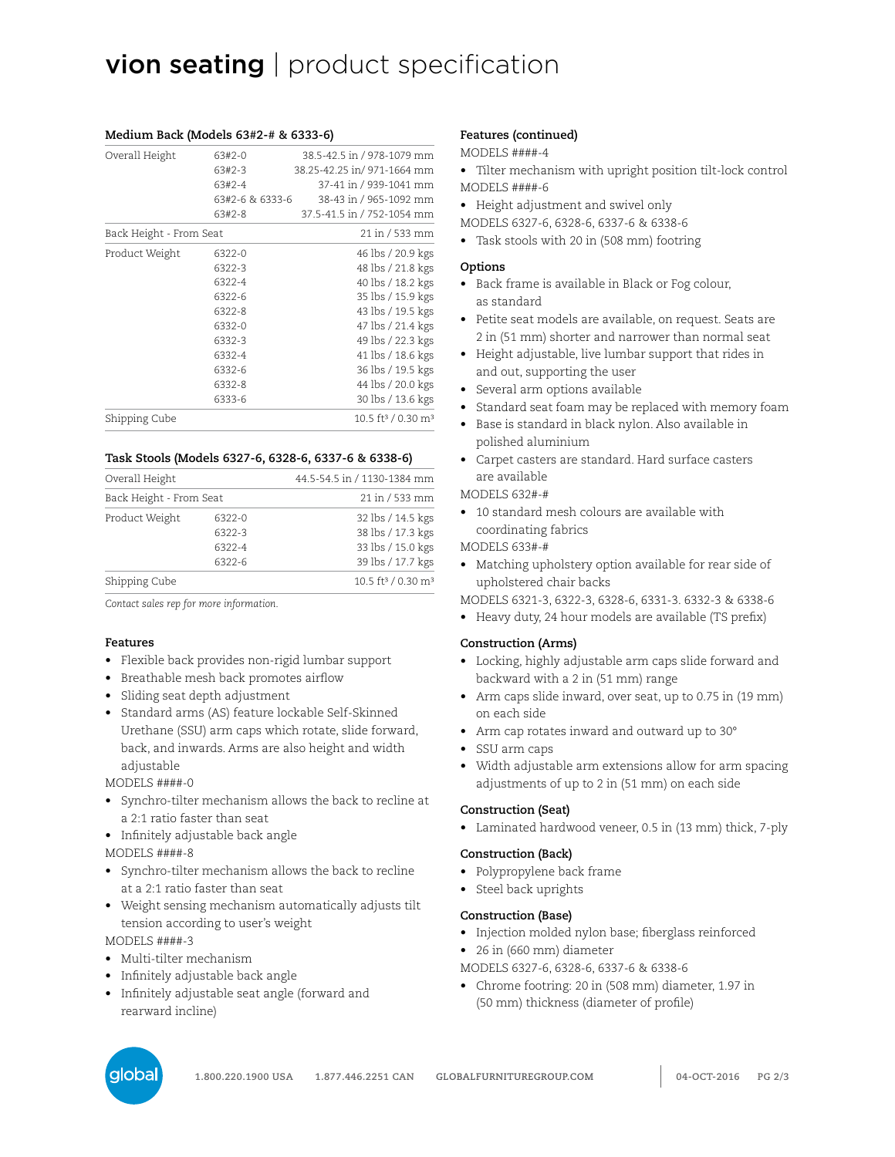# vion seating | product specification

| Overall Height          | 63#2-0          | 38.5-42.5 in / 978-1079 mm                 |
|-------------------------|-----------------|--------------------------------------------|
|                         | 63#2-3          | 38.25-42.25 in/ 971-1664 mm                |
|                         | 63#2-4          | 37-41 in / 939-1041 mm                     |
|                         | 63#2-6 & 6333-6 | 38-43 in / 965-1092 mm                     |
|                         | 63#2-8          | 37.5-41.5 in / 752-1054 mm                 |
| Back Height - From Seat |                 | 21 in / 533 mm                             |
| Product Weight          | 6322-0          | 46 lbs / 20.9 kgs                          |
|                         | 6322-3          | 48 lbs / 21.8 kgs                          |
|                         | 6322-4          | 40 lbs / 18.2 kgs                          |
|                         | 6322-6          | 35 lbs / 15.9 kgs                          |
|                         | 6322-8          | 43 lbs / 19.5 kgs                          |
|                         | 6332-0          | 47 lbs / 21.4 kgs                          |
|                         | 6332-3          | 49 lbs / 22.3 kgs                          |
|                         | 6332-4          | 41 lbs / 18.6 kgs                          |
|                         | 6332-6          | 36 lbs / 19.5 kgs                          |
|                         | 6332-8          | 44 lbs / 20.0 kgs                          |
|                         | 6333-6          | 30 lbs / 13.6 kgs                          |
| Shipping Cube           |                 | 10.5 ft <sup>3</sup> / 0.30 m <sup>3</sup> |

# **Medium Back (Models 63#2-# & 6333-6)**

#### **Task Stools (Models 6327-6, 6328-6, 6337-6 & 6338-6)**

| Overall Height<br>Back Height - From Seat |        | 44.5-54.5 in / 1130-1384 mm<br>21 in / 533 mm |
|-------------------------------------------|--------|-----------------------------------------------|
|                                           |        |                                               |
|                                           | 6322-3 | 38 lbs / 17.3 kgs                             |
|                                           | 6322-4 | 33 lbs / 15.0 kgs                             |
|                                           | 6322-6 | 39 lbs / 17.7 kgs                             |
| Shipping Cube                             |        | 10.5 ft <sup>3</sup> / 0.30 m <sup>3</sup>    |

*Contact sales rep for more information.*

#### **Features**

- Flexible back provides non-rigid lumbar support
- Breathable mesh back promotes airflow
- Sliding seat depth adjustment
- Standard arms (AS) feature lockable Self-Skinned Urethane (SSU) arm caps which rotate, slide forward, back, and inwards. Arms are also height and width adjustable

MODELS ####-0

- Synchro-tilter mechanism allows the back to recline at a 2:1 ratio faster than seat
- Infinitely adjustable back angle MODELS ####-8
- Synchro-tilter mechanism allows the back to recline at a 2:1 ratio faster than seat
- Weight sensing mechanism automatically adjusts tilt tension according to user's weight

MODELS ####-3

- Multi-tilter mechanism
- Infinitely adjustable back angle
- Infinitely adjustable seat angle (forward and rearward incline)

### **Features (continued)**

#### MODELS ####-4

- Tilter mechanism with upright position tilt-lock control MODELS ####-6
- Height adjustment and swivel only
- MODELS 6327-6, 6328-6, 6337-6 & 6338-6
- Task stools with 20 in (508 mm) footring

#### **Options**

- Back frame is available in Black or Fog colour, as standard
- Petite seat models are available, on request. Seats are 2 in (51 mm) shorter and narrower than normal seat
- Height adjustable, live lumbar support that rides in and out, supporting the user
- Several arm options available
- Standard seat foam may be replaced with memory foam
- Base is standard in black nylon. Also available in polished aluminium
- Carpet casters are standard. Hard surface casters are available

MODELS 632#-#

• 10 standard mesh colours are available with coordinating fabrics

#### MODELS 633#-#

- Matching upholstery option available for rear side of upholstered chair backs
- MODELS 6321-3, 6322-3, 6328-6, 6331-3. 6332-3 & 6338-6
- Heavy duty, 24 hour models are available (TS prefix)

#### **Construction (Arms)**

- Locking, highly adjustable arm caps slide forward and backward with a 2 in (51 mm) range
- Arm caps slide inward, over seat, up to 0.75 in (19 mm) on each side
- Arm cap rotates inward and outward up to 30°
- SSU arm caps
- Width adjustable arm extensions allow for arm spacing adjustments of up to 2 in (51 mm) on each side

#### **Construction (Seat)**

• Laminated hardwood veneer, 0.5 in (13 mm) thick, 7-ply

#### **Construction (Back)**

- Polypropylene back frame
- Steel back uprights

#### **Construction (Base)**

- Injection molded nylon base; fiberglass reinforced
- 26 in (660 mm) diameter
- MODELS 6327-6, 6328-6, 6337-6 & 6338-6
- Chrome footring: 20 in (508 mm) diameter, 1.97 in (50 mm) thickness (diameter of profile)